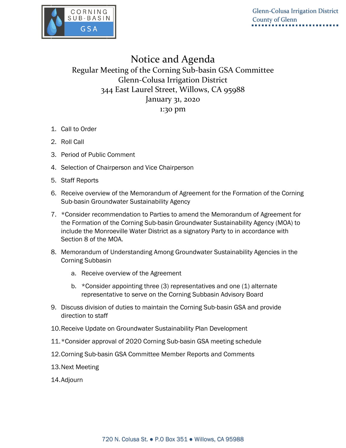

## Notice and Agenda Regular Meeting of the Corning Sub-basin GSA Committee Glenn-Colusa Irrigation District 344 East Laurel Street, Willows, CA 95988 January 31, 2020 1:30 pm

- 1. Call to Order
- 2. Roll Call
- 3. Period of Public Comment
- 4. Selection of Chairperson and Vice Chairperson
- 5. Staff Reports
- 6. Receive overview of the Memorandum of Agreement for the Formation of the Corning Sub-basin Groundwater Sustainability Agency
- 7. \*Consider recommendation to Parties to amend the Memorandum of Agreement for the Formation of the Corning Sub-basin Groundwater Sustainability Agency (MOA) to include the Monroeville Water District as a signatory Party to in accordance with Section 8 of the MOA.
- 8. Memorandum of Understanding Among Groundwater Sustainability Agencies in the Corning Subbasin
	- a. Receive overview of the Agreement
	- b. \* Consider appointing three (3) representatives and one (1) alternate representative to serve on the Corning Subbasin Advisory Board
- 9. Discuss division of duties to maintain the Corning Sub-basin GSA and provide direction to staff
- 10.Receive Update on Groundwater Sustainability Plan Development
- 11.\*Consider approval of 2020 Corning Sub-basin GSA meeting schedule
- 12.Corning Sub-basin GSA Committee Member Reports and Comments
- 13.Next Meeting
- 14.Adjourn